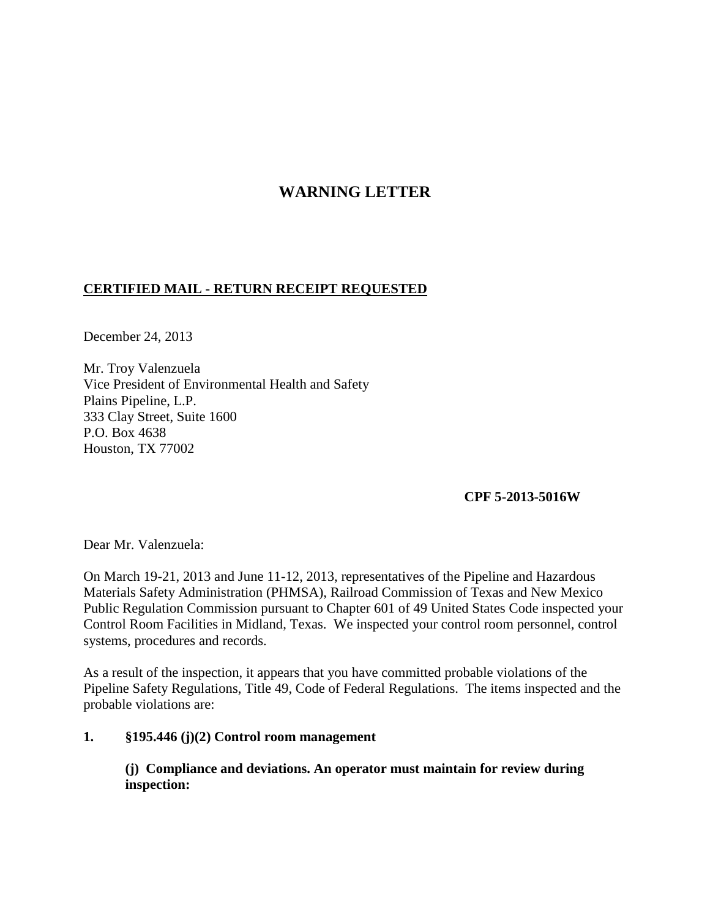# **WARNING LETTER**

## **CERTIFIED MAIL - RETURN RECEIPT REQUESTED**

December 24, 2013

Mr. Troy Valenzuela Vice President of Environmental Health and Safety Plains Pipeline, L.P. 333 Clay Street, Suite 1600 P.O. Box 4638 Houston, TX 77002

### **CPF 5-2013-5016W**

Dear Mr. Valenzuela:

On March 19-21, 2013 and June 11-12, 2013, representatives of the Pipeline and Hazardous Materials Safety Administration (PHMSA), Railroad Commission of Texas and New Mexico Public Regulation Commission pursuant to Chapter 601 of 49 United States Code inspected your Control Room Facilities in Midland, Texas. We inspected your control room personnel, control systems, procedures and records.

As a result of the inspection, it appears that you have committed probable violations of the Pipeline Safety Regulations, Title 49, Code of Federal Regulations. The items inspected and the probable violations are:

### **1. §195.446 (j)(2) Control room management**

**(j) Compliance and deviations. An operator must maintain for review during inspection:**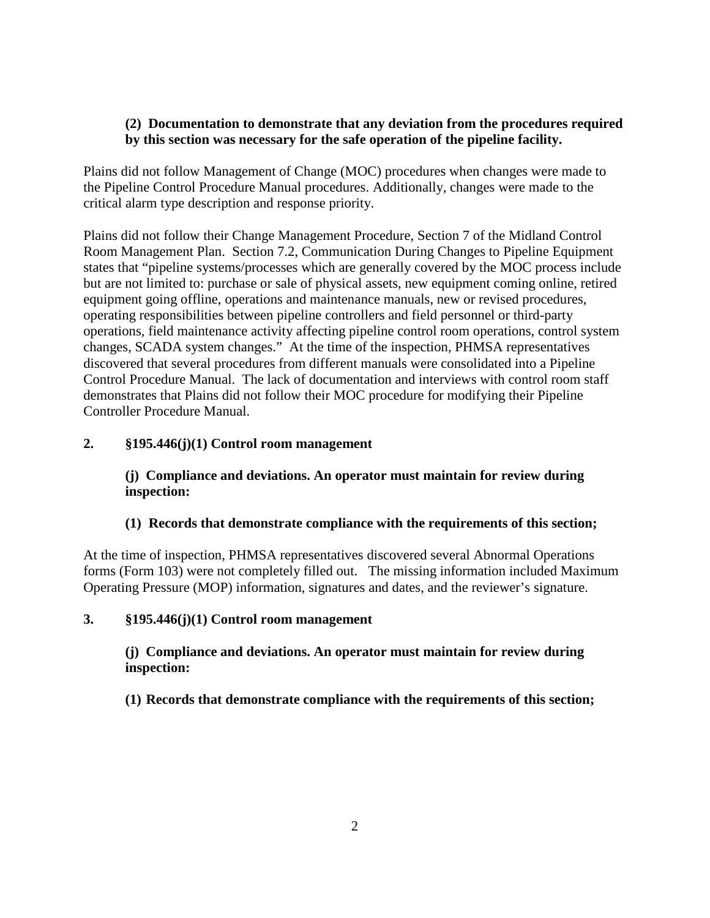## **(2) Documentation to demonstrate that any deviation from the procedures required by this section was necessary for the safe operation of the pipeline facility.**

Plains did not follow Management of Change (MOC) procedures when changes were made to the Pipeline Control Procedure Manual procedures. Additionally, changes were made to the critical alarm type description and response priority.

Plains did not follow their Change Management Procedure, Section 7 of the Midland Control Room Management Plan. Section 7.2, Communication During Changes to Pipeline Equipment states that "pipeline systems/processes which are generally covered by the MOC process include but are not limited to: purchase or sale of physical assets, new equipment coming online, retired equipment going offline, operations and maintenance manuals, new or revised procedures, operating responsibilities between pipeline controllers and field personnel or third-party operations, field maintenance activity affecting pipeline control room operations, control system changes, SCADA system changes." At the time of the inspection, PHMSA representatives discovered that several procedures from different manuals were consolidated into a Pipeline Control Procedure Manual. The lack of documentation and interviews with control room staff demonstrates that Plains did not follow their MOC procedure for modifying their Pipeline Controller Procedure Manual.

## **2. §195.446(j)(1) Control room management**

## **(j) Compliance and deviations. An operator must maintain for review during inspection:**

### **(1) Records that demonstrate compliance with the requirements of this section;**

At the time of inspection, PHMSA representatives discovered several Abnormal Operations forms (Form 103) were not completely filled out. The missing information included Maximum Operating Pressure (MOP) information, signatures and dates, and the reviewer's signature.

### **3. §195.446(j)(1) Control room management**

**(j) Compliance and deviations. An operator must maintain for review during inspection:**

**(1) Records that demonstrate compliance with the requirements of this section;**